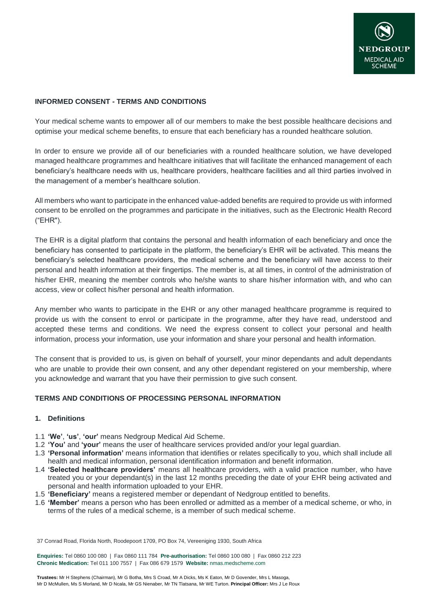

# **INFORMED CONSENT - TERMS AND CONDITIONS**

Your medical scheme wants to empower all of our members to make the best possible healthcare decisions and optimise your medical scheme benefits, to ensure that each beneficiary has a rounded healthcare solution.

In order to ensure we provide all of our beneficiaries with a rounded healthcare solution, we have developed managed healthcare programmes and healthcare initiatives that will facilitate the enhanced management of each beneficiary's healthcare needs with us, healthcare providers, healthcare facilities and all third parties involved in the management of a member's healthcare solution.

All members who want to participate in the enhanced value-added benefits are required to provide us with informed consent to be enrolled on the programmes and participate in the initiatives, such as the Electronic Health Record ("EHR").

The EHR is a digital platform that contains the personal and health information of each beneficiary and once the beneficiary has consented to participate in the platform, the beneficiary's EHR will be activated. This means the beneficiary's selected healthcare providers, the medical scheme and the beneficiary will have access to their personal and health information at their fingertips. The member is, at all times, in control of the administration of his/her EHR, meaning the member controls who he/she wants to share his/her information with, and who can access, view or collect his/her personal and health information.

Any member who wants to participate in the EHR or any other managed healthcare programme is required to provide us with the consent to enrol or participate in the programme, after they have read, understood and accepted these terms and conditions. We need the express consent to collect your personal and health information, process your information, use your information and share your personal and health information.

The consent that is provided to us, is given on behalf of yourself, your minor dependants and adult dependants who are unable to provide their own consent, and any other dependant registered on your membership, where you acknowledge and warrant that you have their permission to give such consent.

## **TERMS AND CONDITIONS OF PROCESSING PERSONAL INFORMATION**

#### **1. Definitions**

- 1.1 **'We'**, **'us'**, **'our'** means Nedgroup Medical Aid Scheme.
- 1.2 **'You'** and **'your'** means the user of healthcare services provided and/or your legal guardian.
- 1.3 **'Personal information'** means information that identifies or relates specifically to you, which shall include all health and medical information, personal identification information and benefit information.
- 1.4 **'Selected healthcare providers'** means all healthcare providers, with a valid practice number, who have treated you or your dependant(s) in the last 12 months preceding the date of your EHR being activated and personal and health information uploaded to your EHR.
- 1.5 **'Beneficiary'** means a registered member or dependant of Nedgroup entitled to benefits.
- 1.6 **'Member'** means a person who has been enrolled or admitted as a member of a medical scheme, or who, in terms of the rules of a medical scheme, is a member of such medical scheme.

37 Conrad Road, Florida North, Roodepoort 1709, PO Box 74, Vereeniging 1930, South Africa

**Enquiries:** Tel 0860 100 080 | Fax 0860 111 784 **Pre-authorisation:** Tel 0860 100 080 | Fax 0860 212 223 **Chronic Medication:** Tel 011 100 7557 | Fax 086 679 1579 **Website:** [nmas.medscheme.com](http://nmas.medscheme.com/)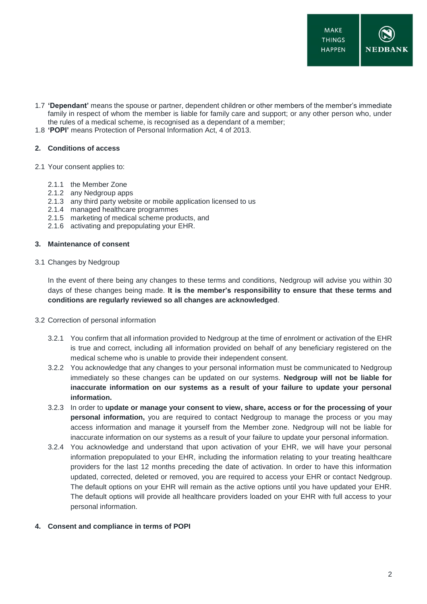- 1.7 **'Dependant'** means the spouse or partner, dependent children or other members of the member's immediate family in respect of whom the member is liable for family care and support; or any other person who, under the rules of a medical scheme, is recognised as a dependant of a member;
- 1.8 **'POPI'** means Protection of Personal Information Act, 4 of 2013.

## **2. Conditions of access**

- 2.1 Your consent applies to:
	- 2.1.1 the Member Zone
	- 2.1.2 any Nedgroup apps
	- 2.1.3 any third party website or mobile application licensed to us
	- 2.1.4 managed healthcare programmes
	- 2.1.5 marketing of medical scheme products, and
	- 2.1.6 activating and prepopulating your EHR.

### **3. Maintenance of consent**

3.1 Changes by Nedgroup

In the event of there being any changes to these terms and conditions, Nedgroup will advise you within 30 days of these changes being made. **It is the member's responsibility to ensure that these terms and conditions are regularly reviewed so all changes are acknowledged**.

- 3.2 Correction of personal information
	- 3.2.1 You confirm that all information provided to Nedgroup at the time of enrolment or activation of the EHR is true and correct, including all information provided on behalf of any beneficiary registered on the medical scheme who is unable to provide their independent consent.
	- 3.2.2 You acknowledge that any changes to your personal information must be communicated to Nedgroup immediately so these changes can be updated on our systems. **Nedgroup will not be liable for inaccurate information on our systems as a result of your failure to update your personal information.**
	- 3.2.3 In order to **update or manage your consent to view, share, access or for the processing of your personal information,** you are required to contact Nedgroup to manage the process or you may access information and manage it yourself from the Member zone. Nedgroup will not be liable for inaccurate information on our systems as a result of your failure to update your personal information.
	- 3.2.4 You acknowledge and understand that upon activation of your EHR, we will have your personal information prepopulated to your EHR, including the information relating to your treating healthcare providers for the last 12 months preceding the date of activation. In order to have this information updated, corrected, deleted or removed, you are required to access your EHR or contact Nedgroup. The default options on your EHR will remain as the active options until you have updated your EHR. The default options will provide all healthcare providers loaded on your EHR with full access to your personal information.
- **4. Consent and compliance in terms of POPI**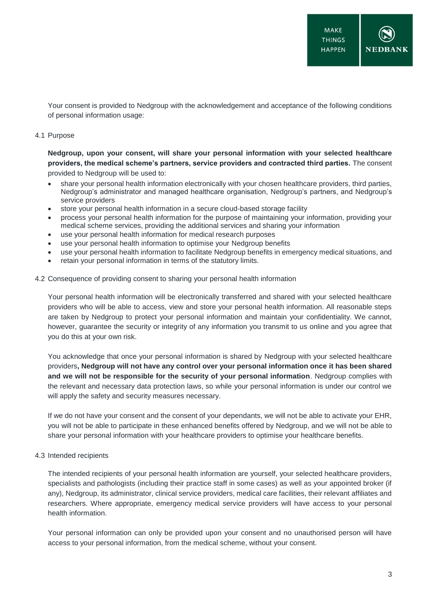Your consent is provided to Nedgroup with the acknowledgement and acceptance of the following conditions of personal information usage:

#### 4.1 Purpose

**Nedgroup, upon your consent, will share your personal information with your selected healthcare providers, the medical scheme's partners, service providers and contracted third parties.** The consent provided to Nedgroup will be used to:

- share your personal health information electronically with your chosen healthcare providers, third parties, Nedgroup's administrator and managed healthcare organisation, Nedgroup's partners, and Nedgroup's service providers
- store your personal health information in a secure cloud-based storage facility
- process your personal health information for the purpose of maintaining your information, providing your medical scheme services, providing the additional services and sharing your information
- use your personal health information for medical research purposes
- use your personal health information to optimise your Nedgroup benefits
- use your personal health information to facilitate Nedgroup benefits in emergency medical situations, and
- retain your personal information in terms of the statutory limits.

### 4.2 Consequence of providing consent to sharing your personal health information

Your personal health information will be electronically transferred and shared with your selected healthcare providers who will be able to access, view and store your personal health information. All reasonable steps are taken by Nedgroup to protect your personal information and maintain your confidentiality. We cannot, however, guarantee the security or integrity of any information you transmit to us online and you agree that you do this at your own risk.

You acknowledge that once your personal information is shared by Nedgroup with your selected healthcare providers**, Nedgroup will not have any control over your personal information once it has been shared and we will not be responsible for the security of your personal information**. Nedgroup complies with the relevant and necessary data protection laws, so while your personal information is under our control we will apply the safety and security measures necessary.

If we do not have your consent and the consent of your dependants, we will not be able to activate your EHR, you will not be able to participate in these enhanced benefits offered by Nedgroup, and we will not be able to share your personal information with your healthcare providers to optimise your healthcare benefits.

## 4.3 Intended recipients

The intended recipients of your personal health information are yourself, your selected healthcare providers, specialists and pathologists (including their practice staff in some cases) as well as your appointed broker (if any), Nedgroup, its administrator, clinical service providers, medical care facilities, their relevant affiliates and researchers. Where appropriate, emergency medical service providers will have access to your personal health information.

Your personal information can only be provided upon your consent and no unauthorised person will have access to your personal information, from the medical scheme, without your consent.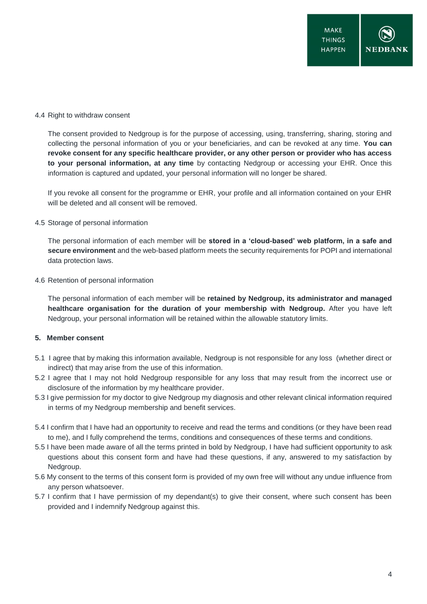#### 4.4 Right to withdraw consent

The consent provided to Nedgroup is for the purpose of accessing, using, transferring, sharing, storing and collecting the personal information of you or your beneficiaries, and can be revoked at any time. **You can revoke consent for any specific healthcare provider, or any other person or provider who has access to your personal information, at any time** by contacting Nedgroup or accessing your EHR. Once this information is captured and updated, your personal information will no longer be shared.

If you revoke all consent for the programme or EHR, your profile and all information contained on your EHR will be deleted and all consent will be removed.

### 4.5 Storage of personal information

The personal information of each member will be **stored in a 'cloud-based' web platform, in a safe and secure environment** and the web-based platform meets the security requirements for POPI and international data protection laws.

#### 4.6 Retention of personal information

The personal information of each member will be **retained by Nedgroup, its administrator and managed healthcare organisation for the duration of your membership with Nedgroup.** After you have left Nedgroup, your personal information will be retained within the allowable statutory limits.

## **5. Member consent**

- 5.1 I agree that by making this information available, Nedgroup is not responsible for any loss (whether direct or indirect) that may arise from the use of this information.
- 5.2 I agree that I may not hold Nedgroup responsible for any loss that may result from the incorrect use or disclosure of the information by my healthcare provider.
- 5.3 I give permission for my doctor to give Nedgroup my diagnosis and other relevant clinical information required in terms of my Nedgroup membership and benefit services.
- 5.4 I confirm that I have had an opportunity to receive and read the terms and conditions (or they have been read to me), and I fully comprehend the terms, conditions and consequences of these terms and conditions.
- 5.5 I have been made aware of all the terms printed in bold by Nedgroup, I have had sufficient opportunity to ask questions about this consent form and have had these questions, if any, answered to my satisfaction by Nedgroup.
- 5.6 My consent to the terms of this consent form is provided of my own free will without any undue influence from any person whatsoever.
- 5.7 I confirm that I have permission of my dependant(s) to give their consent, where such consent has been provided and I indemnify Nedgroup against this.